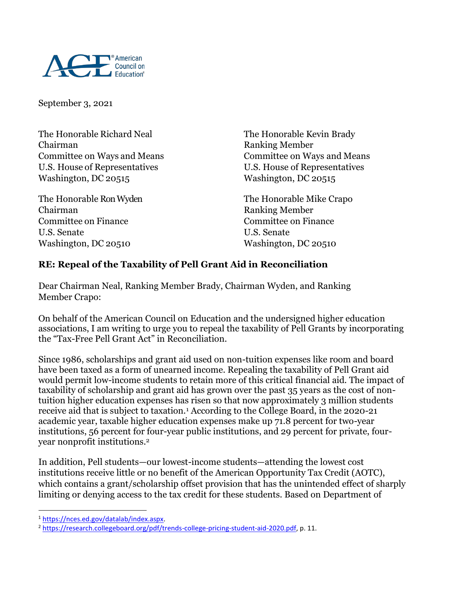

September 3, 2021

The Honorable Richard Neal The Honorable Kevin Brady Chairman Ranking Member U.S. House of Representatives U.S. House of Representatives Washington, DC 20515

Chairman Ranking Member Committee on Finance Committee on Finance U.S. Senate U.S. Senate Washington, DC 20510 Washington, DC 20510

Committee on Ways and Means Committee on Ways and Means

The Honorable Ron Wyden The Honorable Mike Crapo

## **RE: Repeal of the Taxability of Pell Grant Aid in Reconciliation**

Dear Chairman Neal, Ranking Member Brady, Chairman Wyden, and Ranking Member Crapo:

On behalf of the American Council on Education and the undersigned higher education associations, I am writing to urge you to repeal the taxability of Pell Grants by incorporating the "Tax-Free Pell Grant Act" in Reconciliation.

Since 1986, scholarships and grant aid used on non-tuition expenses like room and board have been taxed as a form of unearned income. Repealing the taxability of Pell Grant aid would permit low-income students to retain more of this critical financial aid. The impact of taxability of scholarship and grant aid has grown over the past 35 years as the cost of nontuition higher education expenses has risen so that now approximately 3 million students receive aid that is subject to taxation.<sup>1</sup> According to the College Board, in the 2020-21 academic year, taxable higher education expenses make up 71.8 percent for two-year institutions, 56 percent for four-year public institutions, and 29 percent for private, fouryear nonprofit institutions.<sup>2</sup>

In addition, Pell students—our lowest-income students—attending the lowest cost institutions receive little or no benefit of the American Opportunity Tax Credit (AOTC), which contains a grant/scholarship offset provision that has the unintended effect of sharply limiting or denying access to the tax credit for these students. Based on Department of

 $\overline{a}$ 

<sup>1</sup> [https://nces.ed.gov/datalab/index.aspx.](https://nces.ed.gov/datalab/index.aspx)

<sup>&</sup>lt;sup>2</sup> [https://research.collegeboard.org/pdf/trends-college-pricing-student-aid-2020.pdf,](https://research.collegeboard.org/pdf/trends-college-pricing-student-aid-2020.pdf) p. 11.